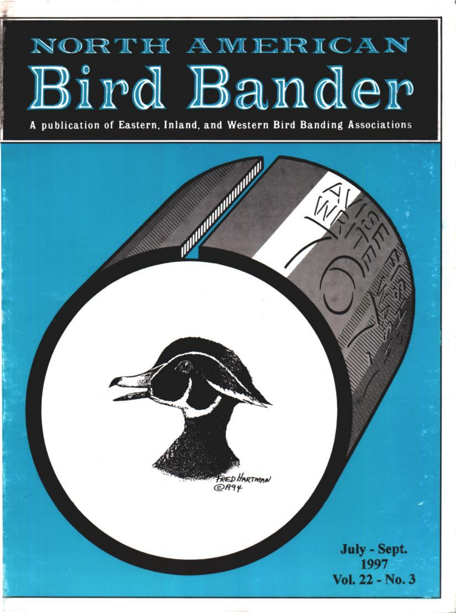# NORTH AMERICAN Bird Bander

**A publication of Eastern, Inland, and Western Bird Banding Associations**